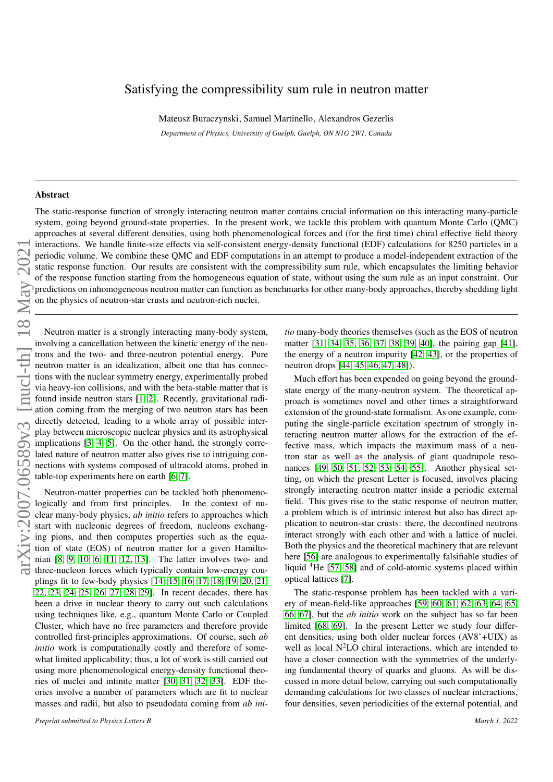## Satisfying the compressibility sum rule in neutron matter

Mateusz Buraczynski, Samuel Martinello, Alexandros Gezerlis

*Department of Physics, University of Guelph, Guelph, ON N1G 2W1, Canada*

## Abstract

The static-response function of strongly interacting neutron matter contains crucial information on this interacting many-particle system, going beyond ground-state properties. In the present work, we tackle this problem with quantum Monte Carlo (QMC) approaches at several different densities, using both phenomenological forces and (for the first time) chiral effective field theory interactions. We handle finite-size effects via self-consistent energy-density functional (EDF) calculations for 8250 particles in a periodic volume. We combine these QMC and EDF computations in an attempt to produce a model-independent extraction of the static response function. Our results are consistent with the compressibility sum rule, which encapsulates the limiting behavior of the response function starting from the homogeneous equation of state, without using the sum rule as an input constraint. Our predictions on inhomogeneous neutron matter can function as benchmarks for other many-body approaches, thereby shedding light on the physics of neutron-star crusts and neutron-rich nuclei.

Neutron matter is a strongly interacting many-body system, involving a cancellation between the kinetic energy of the neutrons and the two- and three-neutron potential energy. Pure neutron matter is an idealization, albeit one that has connections with the nuclear symmetry energy, experimentally probed via heavy-ion collisions, and with the beta-stable matter that is found inside neutron stars [\[1,](#page-4-0) [2\]](#page-4-1). Recently, gravitational radiation coming from the merging of two neutron stars has been directly detected, leading to a whole array of possible interplay between microscopic nuclear physics and its astrophysical implications [\[3,](#page-4-2) [4,](#page-4-3) [5\]](#page-4-4). On the other hand, the strongly correlated nature of neutron matter also gives rise to intriguing connections with systems composed of ultracold atoms, probed in table-top experiments here on earth [\[6,](#page-4-5) [7\]](#page-4-6).

Neutron-matter properties can be tackled both phenomenologically and from first principles. In the context of nuclear many-body physics, *ab initio* refers to approaches which start with nucleonic degrees of freedom, nucleons exchanging pions, and then computes properties such as the equation of state (EOS) of neutron matter for a given Hamiltonian [\[8,](#page-4-7) [9,](#page-4-8) [10,](#page-4-9) [6,](#page-4-5) [11,](#page-4-10) [12,](#page-4-11) [13\]](#page-4-12). The latter involves two- and three-nucleon forces which typically contain low-energy couplings fit to few-body physics [\[14,](#page-4-13) [15,](#page-4-14) [16,](#page-4-15) [17,](#page-4-16) [18,](#page-4-17) [19,](#page-4-18) [20,](#page-4-19) [21,](#page-4-20) [22,](#page-4-21) [23,](#page-4-22) [24,](#page-4-23) [25,](#page-4-24) [26,](#page-4-25) [27,](#page-4-26) [28,](#page-4-27) [29\]](#page-4-28). In recent decades, there has been a drive in nuclear theory to carry out such calculations using techniques like, e.g., quantum Monte Carlo or Coupled Cluster, which have no free parameters and therefore provide controlled first-principles approximations. Of course, such *ab initio* work is computationally costly and therefore of somewhat limited applicability; thus, a lot of work is still carried out using more phenomenological energy-density functional theories of nuclei and infinite matter [\[30,](#page-4-29) [31,](#page-5-0) [32,](#page-5-1) [33\]](#page-5-2). EDF theories involve a number of parameters which are fit to nuclear masses and radii, but also to pseudodata coming from *ab ini-* *tio* many-body theories themselves (such as the EOS of neutron matter [\[31,](#page-5-0) [34,](#page-5-3) [35,](#page-5-4) [36,](#page-5-5) [37,](#page-5-6) [38,](#page-5-7) [39,](#page-5-8) [40\]](#page-5-9), the pairing gap [\[41\]](#page-5-10), the energy of a neutron impurity [\[42,](#page-5-11) [43\]](#page-5-12), or the properties of neutron drops [\[44,](#page-5-13) [45,](#page-5-14) [46,](#page-5-15) [47,](#page-5-16) [48\]](#page-5-17)).

Much effort has been expended on going beyond the groundstate energy of the many-neutron system. The theoretical approach is sometimes novel and other times a straightforward extension of the ground-state formalism. As one example, computing the single-particle excitation spectrum of strongly interacting neutron matter allows for the extraction of the effective mass, which impacts the maximum mass of a neutron star as well as the analysis of giant quadrupole resonances [\[49,](#page-5-18) [50,](#page-5-19) [51,](#page-5-20) [52,](#page-5-21) [53,](#page-5-22) [54,](#page-5-23) [55\]](#page-5-24). Another physical setting, on which the present Letter is focused, involves placing strongly interacting neutron matter inside a periodic external field. This gives rise to the static response of neutron matter, a problem which is of intrinsic interest but also has direct application to neutron-star crusts: there, the deconfined neutrons interact strongly with each other and with a lattice of nuclei. Both the physics and the theoretical machinery that are relevant here [\[56\]](#page-5-25) are analogous to experimentally falsifiable studies of liquid <sup>4</sup>He [\[57,](#page-5-26) [58\]](#page-5-27) and of cold-atomic systems placed within optical lattices [\[7\]](#page-4-6).

The static-response problem has been tackled with a variety of mean-field-like approaches [\[59,](#page-5-28) [60,](#page-5-29) [61,](#page-5-30) [62,](#page-5-31) [63,](#page-5-32) [64,](#page-5-33) [65,](#page-5-34) [66,](#page-5-35) [67\]](#page-5-36), but the *ab initio* work on the subject has so far been limited [\[68,](#page-5-37) [69\]](#page-5-38). In the present Letter we study four different densities, using both older nuclear forces (AV8'+UIX) as well as local  $N^2LO$  chiral interactions, which are intended to have a closer connection with the symmetries of the underlying fundamental theory of quarks and gluons. As will be discussed in more detail below, carrying out such computationally demanding calculations for two classes of nuclear interactions, four densities, seven periodicities of the external potential, and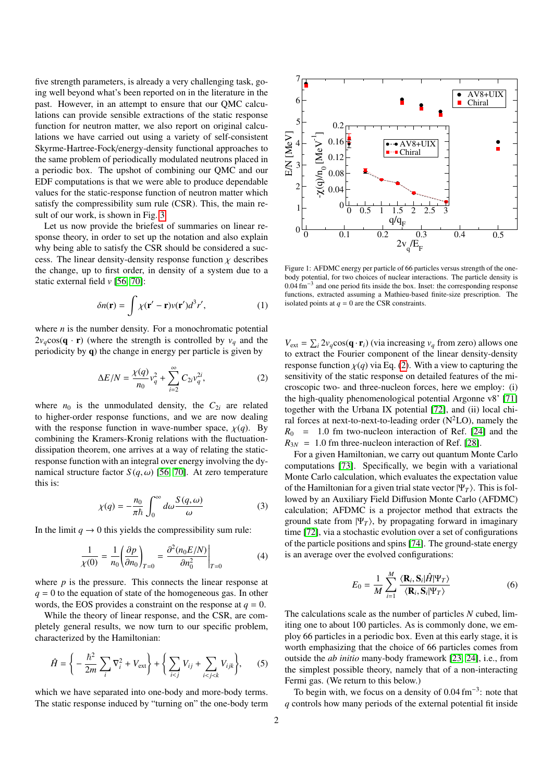five strength parameters, is already a very challenging task, going well beyond what's been reported on in the literature in the past. However, in an attempt to ensure that our QMC calculations can provide sensible extractions of the static response function for neutron matter, we also report on original calculations we have carried out using a variety of self-consistent Skyrme-Hartree-Fock/energy-density functional approaches to the same problem of periodically modulated neutrons placed in a periodic box. The upshot of combining our QMC and our EDF computations is that we were able to produce dependable values for the static-response function of neutron matter which satisfy the compressibility sum rule (CSR). This, the main result of our work, is shown in Fig. [3.](#page-3-0)

Let us now provide the briefest of summaries on linear response theory, in order to set up the notation and also explain why being able to satisfy the CSR should be considered a success. The linear density-density response function  $\chi$  describes the change, up to first order, in density of a system due to a static external field *v* [\[56,](#page-5-25) [70\]](#page-5-39):

$$
\delta n(\mathbf{r}) = \int \chi(\mathbf{r}' - \mathbf{r}) v(\mathbf{r}') d^3 r', \tag{1}
$$

where *n* is the number density. For a monochromatic potential  $2v_q \cos(q \cdot r)$  (where the strength is controlled by  $v_q$  and the periodicity by q) the change in energy per particle is given by

$$
\Delta E/N = \frac{\chi(q)}{n_0} v_q^2 + \sum_{i=2}^{\infty} C_{2i} v_q^{2i},
$$
 (2)

where  $n_0$  is the unmodulated density, the  $C_{2i}$  are related to higher-order response functions, and we are now dealing with the response function in wave-number space,  $\chi(q)$ . By combining the Kramers-Kronig relations with the fluctuationdissipation theorem, one arrives at a way of relating the staticresponse function with an integral over energy involving the dynamical structure factor  $S(q, \omega)$  [\[56,](#page-5-25) [70\]](#page-5-39). At zero temperature this is:

$$
\chi(q) = -\frac{n_0}{\pi \hbar} \int_0^\infty d\omega \frac{S(q,\omega)}{\omega} \tag{3}
$$

In the limit  $q \to 0$  this yields the compressibility sum rule:

$$
\frac{1}{\chi(0)} = \frac{1}{n_0} \left( \frac{\partial p}{\partial n_0} \right)_{T=0} = \frac{\partial^2 (n_0 E/N)}{\partial n_0^2} \bigg|_{T=0} \tag{4}
$$

where  $p$  is the pressure. This connects the linear response at  $q = 0$  to the equation of state of the homogeneous gas. In other words, the EOS provides a constraint on the response at  $q = 0$ .

While the theory of linear response, and the CSR, are completely general results, we now turn to our specific problem, characterized by the Hamiltonian:

$$
\hat{H} = \left\{-\frac{\hbar^2}{2m}\sum_i \nabla_i^2 + V_{\text{ext}}\right\} + \left\{\sum_{i < j} V_{ij} + \sum_{i < j < k} V_{ijk}\right\},\tag{5}
$$

which we have separated into one-body and more-body terms. The static response induced by "turning on" the one-body term



<span id="page-1-1"></span>Figure 1: AFDMC energy per particle of 66 particles versus strength of the onebody potential, for two choices of nuclear interactions. The particle density is  $0.04 \text{ fm}^{-3}$  and one period fits inside the box. Inset: the corresponding response<br>functions extracted assuming a Mathieu-based finite-size prescription. The functions, extracted assuming a Mathieu-based finite-size prescription. The isolated points at  $q = 0$  are the CSR constraints.

<span id="page-1-0"></span> $V_{ext} = \sum_i 2v_q \cos(\mathbf{q} \cdot \mathbf{r}_i)$  (via increasing  $v_q$  from zero) allows one to extract the Fourier component of the linear density-density response function  $\chi(q)$  via Eq. [\(2\)](#page-1-0). With a view to capturing the sensitivity of the static response on detailed features of the microscopic two- and three-nucleon forces, here we employ: (i) the high-quality phenomenological potential Argonne v8' [\[71\]](#page-5-40) together with the Urbana IX potential [\[72\]](#page-5-41), and (ii) local chiral forces at next-to-next-to-leading order  $(N^2LO)$ , namely the  $R_0$  = 1.0 fm two-nucleon interaction of Ref. [\[24\]](#page-4-23) and the  $R_{3N} = 1.0$  fm three-nucleon interaction of Ref. [\[28\]](#page-4-27).

For a given Hamiltonian, we carry out quantum Monte Carlo computations [\[73\]](#page-5-42). Specifically, we begin with a variational Monte Carlo calculation, which evaluates the expectation value of the Hamiltonian for a given trial state vector  $|\Psi_T\rangle$ . This is followed by an Auxiliary Field Diffusion Monte Carlo (AFDMC) calculation; AFDMC is a projector method that extracts the ground state from  $|\Psi_T\rangle$ , by propagating forward in imaginary time [\[72\]](#page-5-41), via a stochastic evolution over a set of configurations of the particle positions and spins [\[74\]](#page-5-43). The ground-state energy is an average over the evolved configurations:

$$
E_0 = \frac{1}{M} \sum_{i=1}^{M} \frac{\langle \mathbf{R}_i, \mathbf{S}_i | \hat{H} | \Psi_T \rangle}{\langle \mathbf{R}_i, \mathbf{S}_i | \Psi_T \rangle}
$$
(6)

<span id="page-1-2"></span>The calculations scale as the number of particles *N* cubed, limiting one to about 100 particles. As is commonly done, we employ 66 particles in a periodic box. Even at this early stage, it is worth emphasizing that the choice of 66 particles comes from outside the *ab initio* many-body framework [\[23,](#page-4-22) [24\]](#page-4-23), i.e., from the simplest possible theory, namely that of a non-interacting Fermi gas. (We return to this below.)

<span id="page-1-3"></span>To begin with, we focus on a density of  $0.04 \text{ fm}^{-3}$ : note that controls how many periods of the external potential fit inside *q* controls how many periods of the external potential fit inside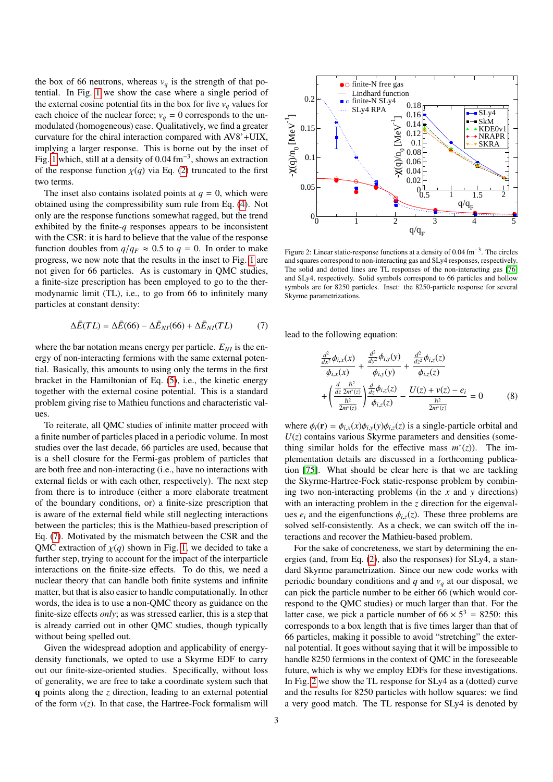the box of 66 neutrons, whereas  $v_q$  is the strength of that potential. In Fig. [1](#page-1-1) we show the case where a single period of the external cosine potential fits in the box for five  $v_q$  values for each choice of the nuclear force;  $v_q = 0$  corresponds to the unmodulated (homogeneous) case. Qualitatively, we find a greater curvature for the chiral interaction compared with AV8'+UIX, implying a larger response. This is borne out by the inset of Fig. [1](#page-1-1) which, still at a density of 0.04 fm<sup>-3</sup>, shows an extraction of the response function  $\nu(a)$  yia Eq. (2) truncated to the first of the response function  $\chi(q)$  via Eq. [\(2\)](#page-1-0) truncated to the first two terms.

The inset also contains isolated points at  $q = 0$ , which were obtained using the compressibility sum rule from Eq. [\(4\)](#page-1-2). Not only are the response functions somewhat ragged, but the trend exhibited by the finite-*q* responses appears to be inconsistent with the CSR: it is hard to believe that the value of the response function doubles from  $q/q_F \approx 0.5$  to  $q = 0$ . In order to make progress, we now note that the results in the inset to Fig. [1](#page-1-1) are not given for 66 particles. As is customary in QMC studies, a finite-size prescription has been employed to go to the thermodynamic limit (TL), i.e., to go from 66 to infinitely many particles at constant density:

$$
\Delta \bar{E}(TL) = \Delta \bar{E}(66) - \Delta \bar{E}_{NI}(66) + \Delta \bar{E}_{NI}(TL)
$$
 (7)

where the bar notation means energy per particle.  $E_{NI}$  is the energy of non-interacting fermions with the same external potential. Basically, this amounts to using only the terms in the first bracket in the Hamiltonian of Eq. [\(5\)](#page-1-3), i.e., the kinetic energy together with the external cosine potential. This is a standard problem giving rise to Mathieu functions and characteristic values.

To reiterate, all QMC studies of infinite matter proceed with a finite number of particles placed in a periodic volume. In most studies over the last decade, 66 particles are used, because that is a shell closure for the Fermi-gas problem of particles that are both free and non-interacting (i.e., have no interactions with external fields or with each other, respectively). The next step from there is to introduce (either a more elaborate treatment of the boundary conditions, or) a finite-size prescription that is aware of the external field while still neglecting interactions between the particles; this is the Mathieu-based prescription of Eq. [\(7\)](#page-2-0). Motivated by the mismatch between the CSR and the QMC extraction of  $\chi(q)$  shown in Fig. [1,](#page-1-1) we decided to take a further step, trying to account for the impact of the interparticle interactions on the finite-size effects. To do this, we need a nuclear theory that can handle both finite systems and infinite matter, but that is also easier to handle computationally. In other words, the idea is to use a non-QMC theory as guidance on the finite-size effects *only*; as was stressed earlier, this is a step that is already carried out in other QMC studies, though typically without being spelled out. orbitted by the first- $\alpha$  responses a present to be inconsistent with the case of the state interaction of the form  $\alpha$  is the form of the form  $\alpha$  is the form  $\alpha$  of  $\alpha$  case of the form  $\alpha$  case of the formalism f

Given the widespread adoption and applicability of energydensity functionals, we opted to use a Skyrme EDF to carry out our finite-size-oriented studies. Specifically, without loss of generality, we are free to take a coordinate system such that q points along the *z* direction, leading to an external potential



<span id="page-2-1"></span>Figure 2: Linear static-response functions at a density of  $0.04 \text{ fm}^{-3}$ . The circles and squares correspond to non-interacting gas and SI v4 responses, respectively and squares correspond to non-interacting gas and SLy4 responses, respectively. The solid and dotted lines are TL responses of the non-interacting gas [\[76\]](#page-5-44) and SLy4, respectively. Solid symbols correspond to 66 particles and hollow symbols are for 8250 particles. Inset: the 8250-particle response for several Skyrme parametrizations.

<span id="page-2-0"></span>lead to the following equation:

$$
\frac{\frac{d^2}{dx^2}\phi_{i,x}(x)}{\phi_{i,x}(x)} + \frac{\frac{d^2}{dy^2}\phi_{i,y}(y)}{\phi_{i,y}(y)} + \frac{\frac{d^2}{dz^2}\phi_{i,z}(z)}{\phi_{i,z}(z)} \n+ \left(\frac{\frac{d}{dz}\frac{\hbar^2}{2m^*(z)}}{\frac{\hbar^2}{2m^*(z)}}\right)\frac{\frac{d}{dz}\phi_{i,z}(z)}{\phi_{i,z}(z)} - \frac{U(z) + \nu(z) - e_i}{\frac{\hbar^2}{2m^*(z)}} = 0
$$
\n(8)

where  $\phi_i(\mathbf{r}) = \phi_{i,x}(x)\phi_{i,y}(y)\phi_{i,z}(z)$  is a single-particle orbital and  $U(z)$  contains various Skyrme parameters and densities (something similar holds for the effective mass  $m^*(z)$ ). The implementation details are discussed in a forthcoming publication [\[75\]](#page-5-45). What should be clear here is that we are tackling the Skyrme-Hartree-Fock static-response problem by combining two non-interacting problems (in the *x* and *y* directions) with an interacting problem in the *z* direction for the eigenvalues  $e_i$  and the eigenfunctions  $\phi_{i\bar{z}}(z)$ . These three problems are solved self-consistently. As a check, we can switch off the interactions and recover the Mathieu-based problem.

For the sake of concreteness, we start by determining the energies (and, from Eq. [\(2\)](#page-1-0), also the responses) for SLy4, a standard Skyrme parametrization. Since our new code works with periodic boundary conditions and  $q$  and  $v_q$  at our disposal, we can pick the particle number to be either 66 (which would correspond to the QMC studies) or much larger than that. For the latter case, we pick a particle number of  $66 \times 5^3 = 8250$ : this corresponds to a box length that is five times larger than that of 66 particles, making it possible to avoid "stretching" the external potential. It goes without saying that it will be impossible to handle 8250 fermions in the context of QMC in the foreseeable future, which is why we employ EDFs for these investigations. In Fig. [2](#page-2-1) we show the TL response for SLy4 as a (dotted) curve and the results for 8250 particles with hollow squares: we find a very good match. The TL response for SLy4 is denoted by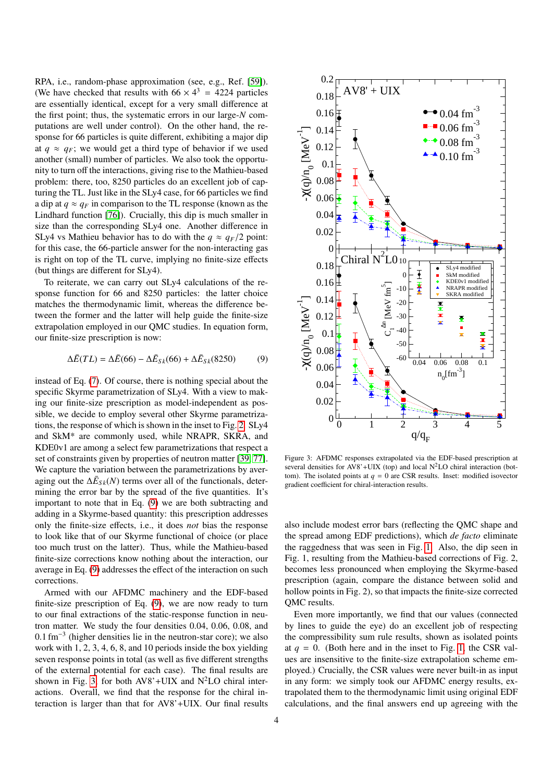RPA, i.e., random-phase approximation (see, e.g., Ref. [\[59\]](#page-5-28)). (We have checked that results with  $66 \times 4^3 = 4224$  particles are essentially identical, except for a very small difference at the first point; thus, the systematic errors in our large-*N* computations are well under control). On the other hand, the response for 66 particles is quite different, exhibiting a major dip at  $q \approx q_F$ ; we would get a third type of behavior if we used another (small) number of particles. We also took the opportunity to turn off the interactions, giving rise to the Mathieu-based problem: there, too, 8250 particles do an excellent job of capturing the TL. Just like in the SLy4 case, for 66 particles we find a dip at  $q \approx q_F$  in comparison to the TL response (known as the Lindhard function [\[76\]](#page-5-44)). Crucially, this dip is much smaller in size than the corresponding SLy4 one. Another difference in SLy4 vs Mathieu behavior has to do with the  $q \approx q_F/2$  point: for this case, the 66-particle answer for the non-interacting gas is right on top of the TL curve, implying no finite-size effects (but things are different for SLy4).

To reiterate, we can carry out SLy4 calculations of the response function for 66 and 8250 particles: the latter choice matches the thermodynamic limit, whereas the difference between the former and the latter will help guide the finite-size extrapolation employed in our QMC studies. In equation form, our finite-size prescription is now:

$$
\Delta \bar{E}(TL) = \Delta \bar{E}(66) - \Delta \bar{E}_{Sk}(66) + \Delta \bar{E}_{Sk}(8250) \tag{9}
$$

instead of Eq. [\(7\)](#page-2-0). Of course, there is nothing special about the specific Skyrme parametrization of SLy4. With a view to making our finite-size prescription as model-independent as possible, we decide to employ several other Skyrme parametrizations, the response of which is shown in the inset to Fig. [2.](#page-2-1) SLy4 and SkM\* are commonly used, while NRAPR, SKRA, and KDE0v1 are among a select few parametrizations that respect a set of constraints given by properties of neutron matter [\[39,](#page-5-8) [77\]](#page-5-46). We capture the variation between the parametrizations by averaging out the  $\Delta \bar{E}_{S_k}(N)$  terms over all of the functionals, determining the error bar by the spread of the five quantities. It's important to note that in Eq. [\(9\)](#page-3-1) we are both subtracting and adding in a Skyrme-based quantity: this prescription addresses only the finite-size effects, i.e., it does *not* bias the response to look like that of our Skyrme functional of choice (or place too much trust on the latter). Thus, while the Mathieu-based finite-size corrections know nothing about the interaction, our average in Eq. [\(9\)](#page-3-1) addresses the effect of the interaction on such corrections.

Armed with our AFDMC machinery and the EDF-based finite-size prescription of Eq. [\(9\)](#page-3-1), we are now ready to turn to our final extractions of the static-response function in neutron matter. We study the four densities 0.04, 0.06, 0.08, and 0.1 fm<sup>-3</sup> (higher densities lie in the neutron-star core); we also<br>work with 1, 2, 3, 4, 6, 8, and 10 periods inside the box vielding work with 1, 2, 3, 4, 6, 8, and 10 periods inside the box yielding seven response points in total (as well as five different strengths of the external potential for each case). The final results are shown in Fig. [3,](#page-3-0) for both  $AV8' + UIX$  and  $N^2LO$  chiral interactions. Overall, we find that the response for the chiral interaction is larger than that for AV8'+UIX. Our final results



<span id="page-3-1"></span><span id="page-3-0"></span>Figure 3: AFDMC responses extrapolated via the EDF-based prescription at several densities for  $AV8' + UIX$  (top) and local  $N<sup>2</sup>LO$  chiral interaction (bottom). The isolated points at  $q = 0$  are CSR results. Inset: modified isovector gradient coefficient for chiral-interaction results.

also include modest error bars (reflecting the QMC shape and the spread among EDF predictions), which *de facto* eliminate the raggedness that was seen in Fig. [1.](#page-1-1) Also, the dip seen in Fig. 1, resulting from the Mathieu-based corrections of Fig. 2, becomes less pronounced when employing the Skyrme-based prescription (again, compare the distance between solid and hollow points in Fig. 2), so that impacts the finite-size corrected QMC results.

Even more importantly, we find that our values (connected by lines to guide the eye) do an excellent job of respecting the compressibility sum rule results, shown as isolated points at  $q = 0$ . (Both here and in the inset to Fig. [1,](#page-1-1) the CSR values are insensitive to the finite-size extrapolation scheme employed.) Crucially, the CSR values were never built-in as input in any form: we simply took our AFDMC energy results, extrapolated them to the thermodynamic limit using original EDF calculations, and the final answers end up agreeing with the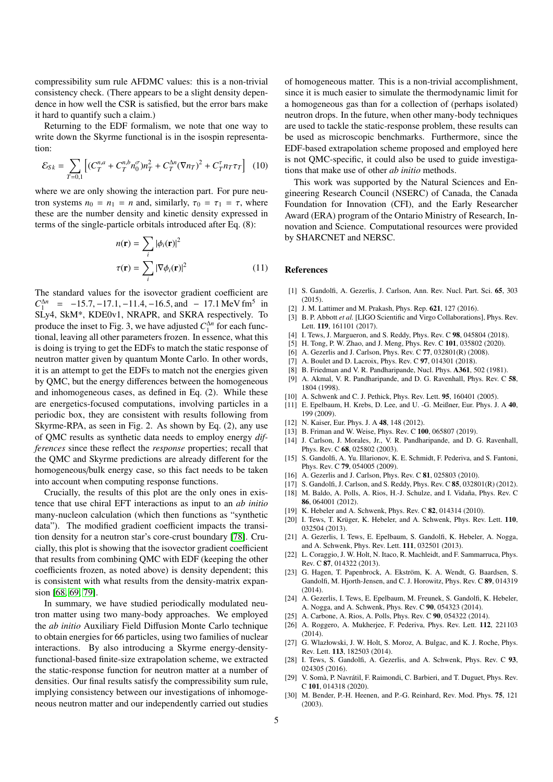compressibility sum rule AFDMC values: this is a non-trivial consistency check. (There appears to be a slight density dependence in how well the CSR is satisfied, but the error bars make it hard to quantify such a claim.)

Returning to the EDF formalism, we note that one way to write down the Skyrme functional is in the isospin representation:

$$
\mathcal{E}_{Sk} = \sum_{T=0,1} \left[ (C_T^{n,a} + C_T^{n,b} n_0^{\sigma}) n_T^2 + C_T^{\Delta n} (\nabla n_T)^2 + C_T^{\tau} n_T \tau_T \right] (10)
$$

where we are only showing the interaction part. For pure neutron systems  $n_0 = n_1 = n$  and, similarly,  $\tau_0 = \tau_1 = \tau$ , where these are the number density and kinetic density expressed in terms of the single-particle orbitals introduced after Eq. (8):

$$
n(\mathbf{r}) = \sum_{i} |\phi_i(\mathbf{r})|^2
$$
  

$$
\tau(\mathbf{r}) = \sum_{i} |\nabla \phi_i(\mathbf{r})|^2
$$
(11)

The standard values for the isovector gradient coefficient are  $C_{1}^{\Delta n} = -15.7, -17.1, -11.4, -16.5,$  and  $-17.1$  MeV fm<sup>5</sup> in<br>SI<sub>M</sub>A SkM<sup>\*</sup> KDE0y1, NRAPR and SKRA respectively. To SLy4, SkM\*, KDE0v1, NRAPR, and SKRA respectively. To produce the inset to Fig. 3, we have adjusted  $C_1^{\Delta n}$  for each functional, leaving all other parameters frozen. In essence, what this is doing is trying to get the EDFs to match the static response of neutron matter given by quantum Monte Carlo. In other words, it is an attempt to get the EDFs to match not the energies given by QMC, but the energy differences between the homogeneous and inhomogeneous cases, as defined in Eq. (2). While these are energetics-focused computations, involving particles in a periodic box, they are consistent with results following from Skyrme-RPA, as seen in Fig. 2. As shown by Eq. (2), any use of QMC results as synthetic data needs to employ energy *differences* since these reflect the *response* properties; recall that the QMC and Skyrme predictions are already different for the homogeneous/bulk energy case, so this fact needs to be taken into account when computing response functions.

Crucially, the results of this plot are the only ones in existence that use chiral EFT interactions as input to an *ab initio* many-nucleon calculation (which then functions as "synthetic data"). The modified gradient coefficient impacts the transition density for a neutron star's core-crust boundary [\[78\]](#page-5-47). Crucially, this plot is showing that the isovector gradient coefficient that results from combining QMC with EDF (keeping the other coefficients frozen, as noted above) is density dependent; this is consistent with what results from the density-matrix expan-sion [\[68,](#page-5-37) [69,](#page-5-38) [79\]](#page-5-48).

In summary, we have studied periodically modulated neutron matter using two many-body approaches. We employed the *ab initio* Auxiliary Field Diffusion Monte Carlo technique to obtain energies for 66 particles, using two families of nuclear interactions. By also introducing a Skyrme energy-densityfunctional-based finite-size extrapolation scheme, we extracted the static-response function for neutron matter at a number of densities. Our final results satisfy the compressibility sum rule, implying consistency between our investigations of inhomogeneous neutron matter and our independently carried out studies

of homogeneous matter. This is a non-trivial accomplishment, since it is much easier to simulate the thermodynamic limit for a homogeneous gas than for a collection of (perhaps isolated) neutron drops. In the future, when other many-body techniques are used to tackle the static-response problem, these results can be used as microscopic benchmarks. Furthermore, since the EDF-based extrapolation scheme proposed and employed here is not QMC-specific, it could also be used to guide investigations that make use of other *ab initio* methods.

This work was supported by the Natural Sciences and Engineering Research Council (NSERC) of Canada, the Canada Foundation for Innovation (CFI), and the Early Researcher Award (ERA) program of the Ontario Ministry of Research, Innovation and Science. Computational resources were provided by SHARCNET and NERSC.

## References

- <span id="page-4-0"></span>[1] S. Gandolfi, A. Gezerlis, J. Carlson, Ann. Rev. Nucl. Part. Sci. 65, 303 (2015).
- <span id="page-4-1"></span>[2] J. M. Lattimer and M. Prakash, Phys. Rep. 621, 127 (2016).
- <span id="page-4-2"></span>[3] B. P. Abbott *et al.* [LIGO Scientific and Virgo Collaborations], Phys. Rev. Lett. 119, 161101 (2017).
- <span id="page-4-3"></span>[4] I. Tews, J. Margueron, and S. Reddy, Phys. Rev. C 98, 045804 (2018).
- <span id="page-4-4"></span>[5] H. Tong, P. W. Zhao, and J. Meng, Phys. Rev. C 101, 035802 (2020).
- <span id="page-4-5"></span>[6] A. Gezerlis and J. Carlson, Phys. Rev. C 77, 032801(R) (2008).
- <span id="page-4-6"></span>[7] A. Boulet and D. Lacroix, Phys. Rev. C 97, 014301 (2018).
- <span id="page-4-7"></span>[8] B. Friedman and V. R. Pandharipande, Nucl. Phys. A361, 502 (1981).
- <span id="page-4-8"></span>[9] A. Akmal, V. R. Pandharipande, and D. G. Ravenhall, Phys. Rev. C 58, 1804 (1998).
- <span id="page-4-9"></span>[10] A. Schwenk and C. J. Pethick, Phys. Rev. Lett. 95, 160401 (2005).
- <span id="page-4-10"></span>[11] E. Epelbaum, H. Krebs, D. Lee, and U. -G. Meißner, Eur. Phys. J. A 40, 199 (2009).
- <span id="page-4-11"></span>[12] N. Kaiser, Eur. Phys. J. A 48, 148 (2012).
- <span id="page-4-12"></span>[13] B. Friman and W. Weise, Phys. Rev. C 100, 065807 (2019).
- <span id="page-4-13"></span>[14] J. Carlson, J. Morales, Jr., V. R. Pandharipande, and D. G. Ravenhall, Phys. Rev. C 68, 025802 (2003).
- <span id="page-4-14"></span>[15] S. Gandolfi, A. Yu. Illarionov, K. E. Schmidt, F. Pederiva, and S. Fantoni, Phys. Rev. C 79, 054005 (2009).
- <span id="page-4-15"></span>[16] A. Gezerlis and J. Carlson, Phys. Rev. C 81, 025803 (2010).
- <span id="page-4-16"></span>[17] S. Gandolfi, J. Carlson, and S. Reddy, Phys. Rev. C 85, 032801(R) (2012).
- <span id="page-4-17"></span>[18] M. Baldo, A. Polls, A. Rios, H.-J. Schulze, and I. Vidaña, Phys. Rev. C 86, 064001 (2012).
- <span id="page-4-18"></span>[19] K. Hebeler and A. Schwenk, Phys. Rev. C 82, 014314 (2010).
- <span id="page-4-19"></span>[20] I. Tews, T. Krüger, K. Hebeler, and A. Schwenk, Phys. Rev. Lett. 110, 032504 (2013).
- <span id="page-4-20"></span>[21] A. Gezerlis, I. Tews, E. Epelbaum, S. Gandolfi, K. Hebeler, A. Nogga, and A. Schwenk, Phys. Rev. Lett. 111, 032501 (2013).
- <span id="page-4-21"></span>[22] L. Coraggio, J. W. Holt, N. Itaco, R. Machleidt, and F. Sammarruca, Phys. Rev. C 87, 014322 (2013).
- <span id="page-4-22"></span>[23] G. Hagen, T. Papenbrock, A. Ekström, K. A. Wendt, G. Baardsen, S. Gandolfi, M. Hjorth-Jensen, and C. J. Horowitz, Phys. Rev. C 89, 014319 (2014).
- <span id="page-4-23"></span>[24] A. Gezerlis, I. Tews, E. Epelbaum, M. Freunek, S. Gandolfi, K. Hebeler, A. Nogga, and A. Schwenk, Phys. Rev. C 90, 054323 (2014).
- <span id="page-4-24"></span>[25] A. Carbone, A. Rios, A. Polls, Phys. Rev. C 90, 054322 (2014).
- <span id="page-4-25"></span>[26] A. Roggero, A. Mukherjee, F. Pederiva, Phys. Rev. Lett. 112, 221103 (2014).
- <span id="page-4-26"></span>[27] G. Wlazłowski, J. W. Holt, S. Moroz, A. Bulgac, and K. J. Roche, Phys. Rev. Lett. 113, 182503 (2014).
- <span id="page-4-27"></span>[28] I. Tews, S. Gandolfi, A. Gezerlis, and A. Schwenk, Phys. Rev. C 93, 024305 (2016).
- <span id="page-4-28"></span>[29] V. Somà, P. Navrátil, F. Raimondi, C. Barbieri, and T. Duguet, Phys. Rev. C 101, 014318 (2020).
- <span id="page-4-29"></span>[30] M. Bender, P.-H. Heenen, and P.-G. Reinhard, Rev. Mod. Phys. 75, 121 (2003).